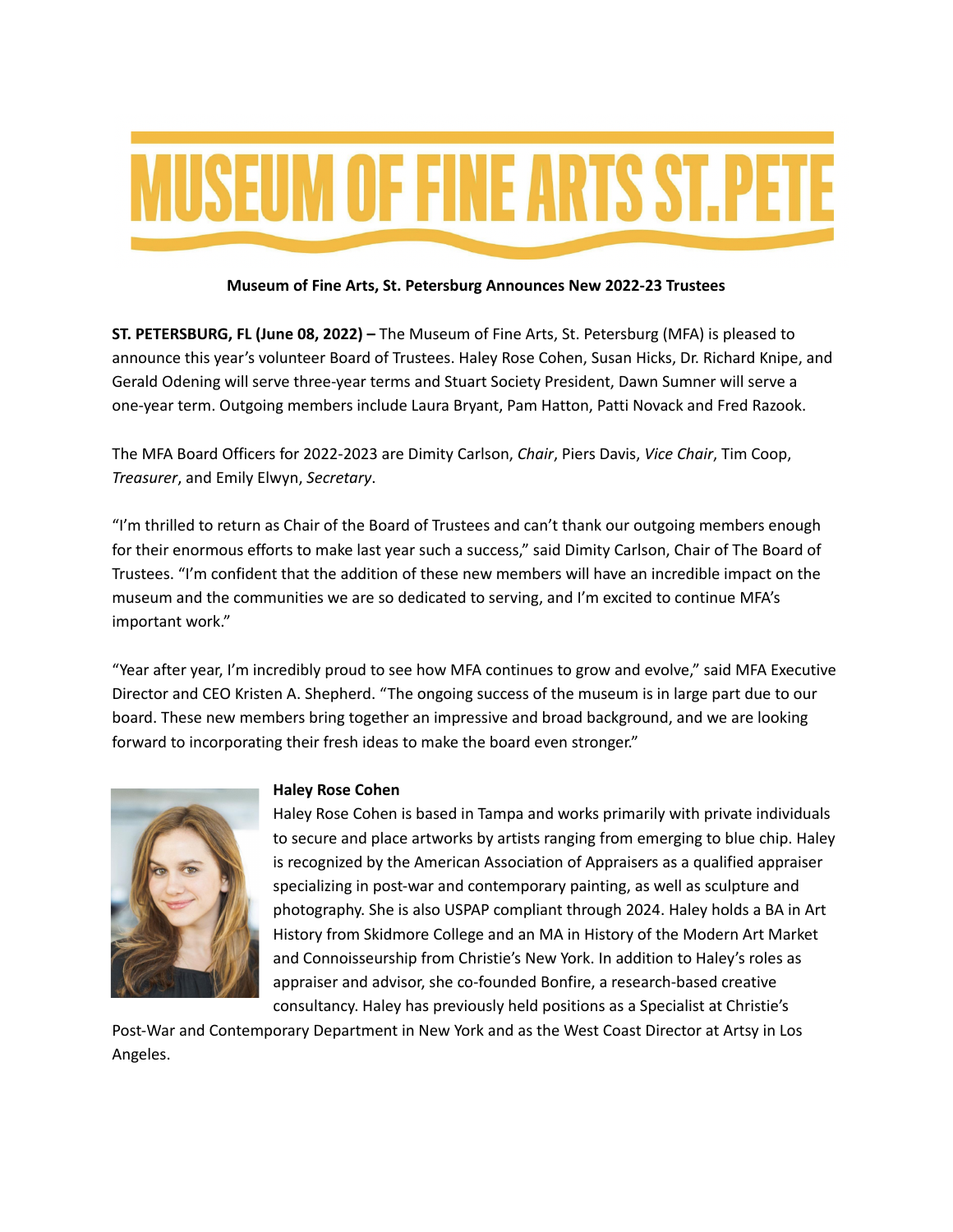# **MUSEUM OF FINE ARTS ST. PETE**

# **Museum of Fine Arts, St. Petersburg Announces New 2022-23 Trustees**

**ST. PETERSBURG, FL (June 08, 2022) –** The Museum of Fine Arts, St. Petersburg (MFA) is pleased to announce this year's volunteer Board of Trustees. Haley Rose Cohen, Susan Hicks, Dr. Richard Knipe, and Gerald Odening will serve three-year terms and Stuart Society President, Dawn Sumner will serve a one-year term. Outgoing members include Laura Bryant, Pam Hatton, Patti Novack and Fred Razook.

The MFA Board Officers for 2022-2023 are Dimity Carlson, *Chair*, Piers Davis, *Vice Chair*, Tim Coop, *Treasurer*, and Emily Elwyn, *Secretary*.

"I'm thrilled to return as Chair of the Board of Trustees and can't thank our outgoing members enough for their enormous efforts to make last year such a success," said Dimity Carlson, Chair of The Board of Trustees. "I'm confident that the addition of these new members will have an incredible impact on the museum and the communities we are so dedicated to serving, and I'm excited to continue MFA's important work."

"Year after year, I'm incredibly proud to see how MFA continues to grow and evolve," said MFA Executive Director and CEO Kristen A. Shepherd. "The ongoing success of the museum is in large part due to our board. These new members bring together an impressive and broad background, and we are looking forward to incorporating their fresh ideas to make the board even stronger."



# **Haley Rose Cohen**

Haley Rose Cohen is based in Tampa and works primarily with private individuals to secure and place artworks by artists ranging from emerging to blue chip. Haley is recognized by the American Association of Appraisers as a qualified appraiser specializing in post-war and contemporary painting, as well as sculpture and photography. She is also USPAP compliant through 2024. Haley holds a BA in Art History from Skidmore College and an MA in History of the Modern Art Market and Connoisseurship from Christie's New York. In addition to Haley's roles as appraiser and advisor, she co-founded Bonfire, a research-based creative consultancy. Haley has previously held positions as a Specialist at Christie's

Post-War and Contemporary Department in New York and as the West Coast Director at Artsy in Los Angeles.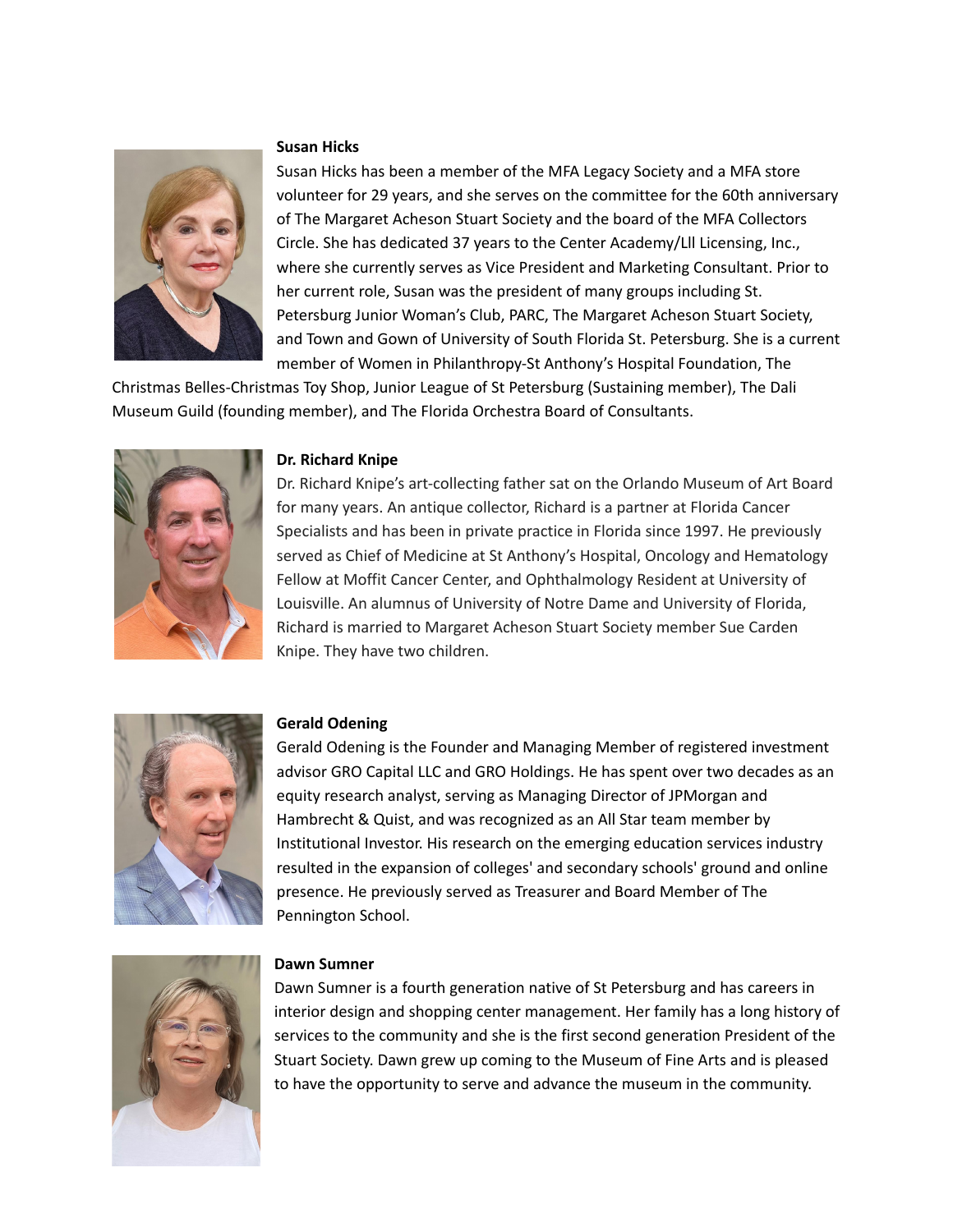# **Susan Hicks**



Susan Hicks has been a member of the MFA Legacy Society and a MFA store volunteer for 29 years, and she serves on the committee for the 60th anniversary of The Margaret Acheson Stuart Society and the board of the MFA Collectors Circle. She has dedicated 37 years to the Center Academy/Lll Licensing, Inc., where she currently serves as Vice President and Marketing Consultant. Prior to her current role, Susan was the president of many groups including St. Petersburg Junior Woman's Club, PARC, The Margaret Acheson Stuart Society, and Town and Gown of University of South Florida St. Petersburg. She is a current member of Women in Philanthropy-St Anthony's Hospital Foundation, The

Christmas Belles-Christmas Toy Shop, Junior League of St Petersburg (Sustaining member), The Dali Museum Guild (founding member), and The Florida Orchestra Board of Consultants.



## **Dr. Richard Knipe**

Dr. Richard Knipe's art-collecting father sat on the Orlando Museum of Art Board for many years. An antique collector, Richard is a partner at Florida Cancer Specialists and has been in private practice in Florida since 1997. He previously served as Chief of Medicine at St Anthony's Hospital, Oncology and Hematology Fellow at Moffit Cancer Center, and Ophthalmology Resident at University of Louisville. An alumnus of University of Notre Dame and University of Florida, Richard is married to Margaret Acheson Stuart Society member Sue Carden Knipe. They have two children.



#### **Gerald Odening**

Gerald Odening is the Founder and Managing Member of registered investment advisor GRO Capital LLC and GRO Holdings. He has spent over two decades as an equity research analyst, serving as Managing Director of JPMorgan and Hambrecht & Quist, and was recognized as an All Star team member by Institutional Investor. His research on the emerging education services industry resulted in the expansion of colleges' and secondary schools' ground and online presence. He previously served as Treasurer and Board Member of The Pennington School.



#### **Dawn Sumner**

Dawn Sumner is a fourth generation native of St Petersburg and has careers in interior design and shopping center management. Her family has a long history of services to the community and she is the first second generation President of the Stuart Society. Dawn grew up coming to the Museum of Fine Arts and is pleased to have the opportunity to serve and advance the museum in the community.